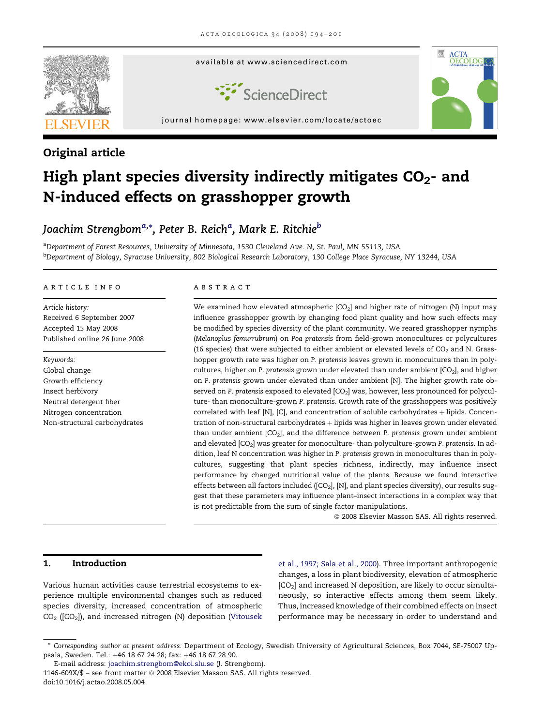

# Original article

# High plant species diversity indirectly mitigates  $CO<sub>2</sub>$ - and N-induced effects on grasshopper growth

# Joachim Strengbom<sup>a,</sup>\*, Peter B. Reich<sup>a</sup>, Mark E. Ritchie<sup>b</sup>

aDepartment of Forest Resources, University of Minnesota, 1530 Cleveland Ave. N, St. Paul, MN 55113, USA <sup>b</sup>Department of Biology, Syracuse University, 802 Biological Research Laboratory, 130 College Place Syracuse, NY 13244, USA

#### article info

Article history: Received 6 September 2007 Accepted 15 May 2008 Published online 26 June 2008

Keywords: Global change Growth efficiency Insect herbivory Neutral detergent fiber Nitrogen concentration Non-structural carbohydrates

#### ABSTRACT

We examined how elevated atmospheric  $[CO_2]$  and higher rate of nitrogen (N) input may influence grasshopper growth by changing food plant quality and how such effects may be modified by species diversity of the plant community. We reared grasshopper nymphs (Melanoplus femurrubrum) on Poa pratensis from field-grown monocultures or polycultures (16 species) that were subjected to either ambient or elevated levels of  $CO<sub>2</sub>$  and N. Grasshopper growth rate was higher on P. pratensis leaves grown in monocultures than in polycultures, higher on P. pratensis grown under elevated than under ambient  $[CO<sub>2</sub>]$ , and higher on P. pratensis grown under elevated than under ambient [N]. The higher growth rate observed on P. pratensis exposed to elevated  $[CO<sub>2</sub>]$  was, however, less pronounced for polyculture- than monoculture-grown P. pratensis. Growth rate of the grasshoppers was positively correlated with leaf [N], [C], and concentration of soluble carbohydrates  $+$  lipids. Concentration of non-structural carbohydrates  $+$  lipids was higher in leaves grown under elevated than under ambient  $[CO_2]$ , and the difference between P. pratensis grown under ambient and elevated  $[CO<sub>2</sub>]$  was greater for monoculture-than polyculture-grown P. pratensis. In addition, leaf N concentration was higher in P. pratensis grown in monocultures than in polycultures, suggesting that plant species richness, indirectly, may influence insect performance by changed nutritional value of the plants. Because we found interactive effects between all factors included ( $[CO<sub>2</sub>]$ ,  $[N]$ , and plant species diversity), our results suggest that these parameters may influence plant–insect interactions in a complex way that is not predictable from the sum of single factor manipulations.

 $©$  2008 Elsevier Masson SAS. All rights reserved.

### 1. Introduction

Various human activities cause terrestrial ecosystems to experience multiple environmental changes such as reduced species diversity, increased concentration of atmospheric  $CO<sub>2</sub>$  ([CO<sub>2</sub>]), and increased nitrogen (N) deposition [\(Vitousek](#page-7-0)

[et al., 1997; Sala et al., 2000\)](#page-7-0). Three important anthropogenic changes, a loss in plant biodiversity, elevation of atmospheric  $[CO<sub>2</sub>]$  and increased N deposition, are likely to occur simultaneously, so interactive effects among them seem likely. Thus, increased knowledge of their combined effects on insect performance may be necessary in order to understand and

<sup>\*</sup> Corresponding author at present address: Department of Ecology, Swedish University of Agricultural Sciences, Box 7044, SE-75007 Uppsala, Sweden. Tel.: +46 18 67 24 28; fax: +46 18 67 28 90.

E-mail address: [joachim.strengbom@ekol.slu.se](mailto:joachim.strengbom@ekol.slu.se) (J. Strengbom).

<sup>1146-609</sup>X/\$ - see front matter © 2008 Elsevier Masson SAS. All rights reserved. doi:10.1016/j.actao.2008.05.004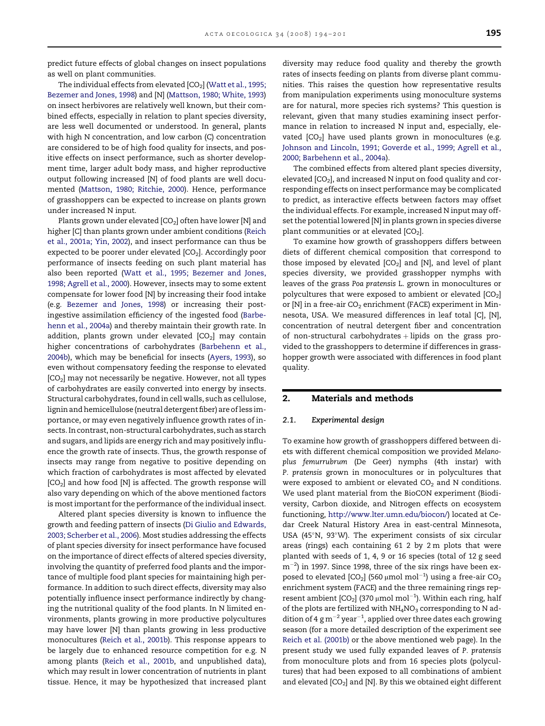<span id="page-1-0"></span>predict future effects of global changes on insect populations as well on plant communities.

The individual effects from elevated  $[CO<sub>2</sub>]$  [\(Watt et al., 1995;](#page-7-0) [Bezemer and Jones, 1998](#page-7-0)) and [N] ([Mattson, 1980; White, 1993\)](#page-7-0) on insect herbivores are relatively well known, but their combined effects, especially in relation to plant species diversity, are less well documented or understood. In general, plants with high N concentration, and low carbon (C) concentration are considered to be of high food quality for insects, and positive effects on insect performance, such as shorter development time, larger adult body mass, and higher reproductive output following increased [N] of food plants are well documented [\(Mattson, 1980; Ritchie, 2000](#page-7-0)). Hence, performance of grasshoppers can be expected to increase on plants grown under increased N input.

Plants grown under elevated [CO<sub>2</sub>] often have lower [N] and higher [C] than plants grown under ambient conditions ([Reich](#page-7-0) [et al., 2001a; Yin, 2002](#page-7-0)), and insect performance can thus be expected to be poorer under elevated  $[CO<sub>2</sub>]$ . Accordingly poor performance of insects feeding on such plant material has also been reported [\(Watt et al., 1995; Bezemer and Jones,](#page-7-0) [1998; Agrell et al., 2000](#page-7-0)). However, insects may to some extent compensate for lower food [N] by increasing their food intake (e.g. [Bezemer and Jones, 1998](#page-7-0)) or increasing their postingestive assimilation efficiency of the ingested food ([Barbe](#page-7-0)[henn et al., 2004a](#page-7-0)) and thereby maintain their growth rate. In addition, plants grown under elevated  $[CO<sub>2</sub>]$  may contain higher concentrations of carbohydrates [\(Barbehenn et al.,](#page-7-0) [2004b](#page-7-0)), which may be beneficial for insects [\(Ayers, 1993](#page-7-0)), so even without compensatory feeding the response to elevated  $[CO<sub>2</sub>]$  may not necessarily be negative. However, not all types of carbohydrates are easily converted into energy by insects. Structural carbohydrates, found in cell walls, such as cellulose, lignin and hemicellulose (neutral detergent fiber) are of less importance, or may even negatively influence growth rates of insects. In contrast, non-structural carbohydrates, such as starch and sugars, and lipids are energy rich and may positively influence the growth rate of insects. Thus, the growth response of insects may range from negative to positive depending on which fraction of carbohydrates is most affected by elevated [CO<sub>2</sub>] and how food [N] is affected. The growth response will also vary depending on which of the above mentioned factors is most important for the performance of the individual insect.

Altered plant species diversity is known to influence the growth and feeding pattern of insects ([Di Giulio and Edwards,](#page-7-0) [2003; Scherber et al., 2006](#page-7-0)). Most studies addressing the effects of plant species diversity for insect performance have focused on the importance of direct effects of altered species diversity, involving the quantity of preferred food plants and the importance of multiple food plant species for maintaining high performance. In addition to such direct effects, diversity may also potentially influence insect performance indirectly by changing the nutritional quality of the food plants. In N limited environments, plants growing in more productive polycultures may have lower [N] than plants growing in less productive monocultures ([Reich et al., 2001b](#page-7-0)). This response appears to be largely due to enhanced resource competition for e.g. N among plants [\(Reich et al., 2001b](#page-7-0), and unpublished data), which may result in lower concentration of nutrients in plant tissue. Hence, it may be hypothesized that increased plant

diversity may reduce food quality and thereby the growth rates of insects feeding on plants from diverse plant communities. This raises the question how representative results from manipulation experiments using monoculture systems are for natural, more species rich systems? This question is relevant, given that many studies examining insect performance in relation to increased N input and, especially, elevated  $[CO_2]$  have used plants grown in monocultures (e.g. [Johnson and Lincoln, 1991; Goverde et al., 1999; Agrell et al.,](#page-7-0) [2000; Barbehenn et al., 2004a\)](#page-7-0).

The combined effects from altered plant species diversity, elevated  $[CO<sub>2</sub>]$ , and increased N input on food quality and corresponding effects on insect performance may be complicated to predict, as interactive effects between factors may offset the individual effects. For example, increased N input may offset the potential lowered [N] in plants grown in species diverse plant communities or at elevated  $[CO<sub>2</sub>]$ .

To examine how growth of grasshoppers differs between diets of different chemical composition that correspond to those imposed by elevated  $[CO_2]$  and  $[N]$ , and level of plant species diversity, we provided grasshopper nymphs with leaves of the grass Poa pratensis L. grown in monocultures or polycultures that were exposed to ambient or elevated  $[CO<sub>2</sub>]$ or  $[N]$  in a free-air CO<sub>2</sub> enrichment (FACE) experiment in Minnesota, USA. We measured differences in leaf total [C], [N], concentration of neutral detergent fiber and concentration of non-structural carbohydrates  $+$  lipids on the grass provided to the grasshoppers to determine if differences in grasshopper growth were associated with differences in food plant quality.

#### 2. Materials and methods

#### 2.1. Experimental design

To examine how growth of grasshoppers differed between diets with different chemical composition we provided Melanoplus femurrubrum (De Geer) nymphs (4th instar) with P. pratensis grown in monocultures or in polycultures that were exposed to ambient or elevated  $CO<sub>2</sub>$  and N conditions. We used plant material from the BioCON experiment (Biodiversity, Carbon dioxide, and Nitrogen effects on ecosystem functioning, [http://www.lter.umn.edu/biocon/](http://www.lter.umn.edu/biocon)) located at Cedar Creek Natural History Area in east-central Minnesota, USA (45"N, 93"W). The experiment consists of six circular areas (rings) each containing 61 2 by 2 m plots that were planted with seeds of 1, 4, 9 or 16 species (total of 12 g seed  $\rm m^{-2}$ ) in 1997. Since 1998, three of the six rings have been exposed to elevated [CO $_2$ ] (560 µmol mol $^{-1}$ ) using a free-air CO $_2$ enrichment system (FACE) and the three remaining rings represent ambient [CO $_2$ ] (370  $\mu$ mol mol $^{-1}$ ). Within each ring, half of the plots are fertilized with  $NH_4NO_3$  corresponding to N addition of 4  $\rm g\,m^{-2}$  year $^{-1}$ , applied over three dates each growing season (for a more detailed description of the experiment see [Reich et al. \(2001b\)](#page-7-0) or the above mentioned web page). In the present study we used fully expanded leaves of P. pratensis from monoculture plots and from 16 species plots (polycultures) that had been exposed to all combinations of ambient and elevated  $[CO_2]$  and  $[N]$ . By this we obtained eight different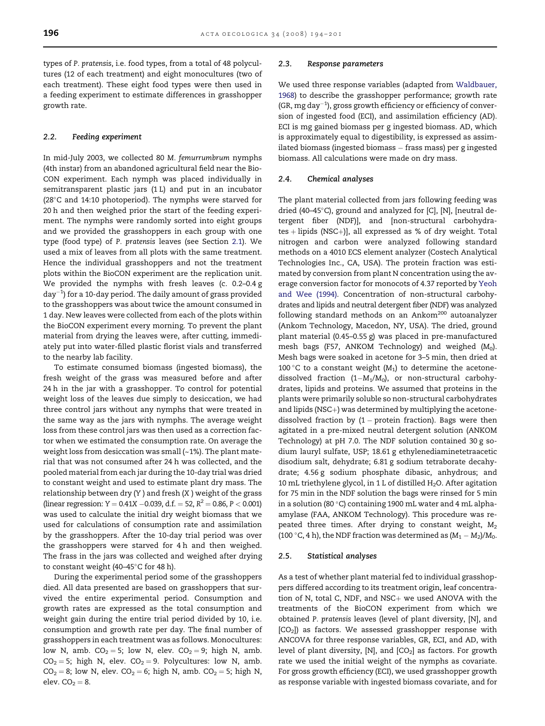types of P. pratensis, i.e. food types, from a total of 48 polycultures (12 of each treatment) and eight monocultures (two of each treatment). These eight food types were then used in a feeding experiment to estimate differences in grasshopper growth rate.

#### 2.2. Feeding experiment

In mid-July 2003, we collected 80 M. femurrumbrum nymphs (4th instar) from an abandoned agricultural field near the Bio-CON experiment. Each nymph was placed individually in semitransparent plastic jars (1 L) and put in an incubator (28"C and 14:10 photoperiod). The nymphs were starved for 20 h and then weighed prior the start of the feeding experiment. The nymphs were randomly sorted into eight groups and we provided the grasshoppers in each group with one type (food type) of P. pratensis leaves (see Section [2.1\)](#page-1-0). We used a mix of leaves from all plots with the same treatment. Hence the individual grasshoppers and not the treatment plots within the BioCON experiment are the replication unit. We provided the nymphs with fresh leaves (c. 0.2–0.4 g  $day^{-1}$ ) for a 10-day period. The daily amount of grass provided to the grasshoppers was about twice the amount consumed in 1 day. New leaves were collected from each of the plots within the BioCON experiment every morning. To prevent the plant material from drying the leaves were, after cutting, immediately put into water-filled plastic florist vials and transferred to the nearby lab facility.

To estimate consumed biomass (ingested biomass), the fresh weight of the grass was measured before and after 24 h in the jar with a grasshopper. To control for potential weight loss of the leaves due simply to desiccation, we had three control jars without any nymphs that were treated in the same way as the jars with nymphs. The average weight loss from these control jars was then used as a correction factor when we estimated the consumption rate. On average the weight loss from desiccation was small (~1%). The plant material that was not consumed after 24 h was collected, and the pooled material from each jar during the 10-day trial was dried to constant weight and used to estimate plant dry mass. The relationship between dry  $(Y)$  and fresh  $(X)$  weight of the grass (linear regression:  $Y = 0.41X - 0.039$ , d.f.  $= 52$ ,  $R^2 = 0.86$ ,  $P < 0.001$ ) was used to calculate the initial dry weight biomass that we used for calculations of consumption rate and assimilation by the grasshoppers. After the 10-day trial period was over the grasshoppers were starved for 4 h and then weighed. The frass in the jars was collected and weighed after drying to constant weight (40–45°C for 48 h).

During the experimental period some of the grasshoppers died. All data presented are based on grasshoppers that survived the entire experimental period. Consumption and growth rates are expressed as the total consumption and weight gain during the entire trial period divided by 10, i.e. consumption and growth rate per day. The final number of grasshoppers in each treatment was as follows. Monocultures: low N, amb.  $CO<sub>2</sub> = 5$ ; low N, elev.  $CO<sub>2</sub> = 9$ ; high N, amb.  $CO<sub>2</sub> = 5$ ; high N, elev.  $CO<sub>2</sub> = 9$ . Polycultures: low N, amb.  $CO<sub>2</sub> = 8$ ; low N, elev.  $CO<sub>2</sub> = 6$ ; high N, amb.  $CO<sub>2</sub> = 5$ ; high N, elev.  $CO<sub>2</sub> = 8$ .

#### 2.3. Response parameters

We used three response variables (adapted from [Waldbauer,](#page-7-0) [1968\)](#page-7-0) to describe the grasshopper performance; growth rate  $(GR, mg day<sup>-1</sup>)$ , gross growth efficiency or efficiency of conversion of ingested food (ECI), and assimilation efficiency (AD). ECI is mg gained biomass per g ingested biomass. AD, which is approximately equal to digestibility, is expressed as assimilated biomass (ingested biomass  $-$  frass mass) per g ingested biomass. All calculations were made on dry mass.

#### 2.4. Chemical analyses

The plant material collected from jars following feeding was dried (40-45°C), ground and analyzed for [C], [N], [neutral detergent fiber (NDF)], and [non-structural carbohydra $tes + lipids (NSC+)$ ], all expressed as % of dry weight. Total nitrogen and carbon were analyzed following standard methods on a 4010 ECS element analyzer (Costech Analytical Technologies Inc., CA, USA). The protein fraction was estimated by conversion from plant N concentration using the average conversion factor for monocots of 4.37 reported by [Yeoh](#page-7-0) [and Wee \(1994\)](#page-7-0). Concentration of non-structural carbohydrates and lipids and neutral detergent fiber (NDF) was analyzed following standard methods on an Ankom<sup>200</sup> autoanalyzer (Ankom Technology, Macedon, NY, USA). The dried, ground plant material (0.45–0.55 g) was placed in pre-manufactured mesh bags (F57, ANKOM Technology) and weighed  $(M_0)$ . Mesh bags were soaked in acetone for 3–5 min, then dried at 100 °C to a constant weight  $(M_1)$  to determine the acetonedissolved fraction (1- $M_1/M_0$ ), or non-structural carbohydrates, lipids and proteins. We assumed that proteins in the plants were primarily soluble so non-structural carbohydrates and lipids (NSC+) was determined by multiplying the acetonedissolved fraction by  $(1 -$  protein fraction). Bags were then agitated in a pre-mixed neutral detergent solution (ANKOM Technology) at pH 7.0. The NDF solution contained 30 g sodium lauryl sulfate, USP; 18.61 g ethylenediaminetetraacetic disodium salt, dehydrate; 6.81 g sodium tetraborate decahydrate; 4.56 g sodium phosphate dibasic, anhydrous; and 10 mL triethylene glycol, in 1 L of distilled  $H_2O$ . After agitation for 75 min in the NDF solution the bags were rinsed for 5 min in a solution (80 "C) containing 1900 mL water and 4 mL alphaamylase (FAA, ANKOM Technology). This procedure was repeated three times. After drying to constant weight,  $M_2$ (100 °C, 4 h), the NDF fraction was determined as  $(M_1 - M_2)/M_0$ .

#### 2.5. Statistical analyses

As a test of whether plant material fed to individual grasshoppers differed according to its treatment origin, leaf concentration of N, total C, NDF, and  $NSC+$  we used ANOVA with the treatments of the BioCON experiment from which we obtained P. pratensis leaves (level of plant diversity, [N], and  $[CO<sub>2</sub>]$ ) as factors. We assessed grasshopper response with ANCOVA for three response variables, GR, ECI, and AD, with level of plant diversity,  $[N]$ , and  $[CO_2]$  as factors. For growth rate we used the initial weight of the nymphs as covariate. For gross growth efficiency (ECI), we used grasshopper growth as response variable with ingested biomass covariate, and for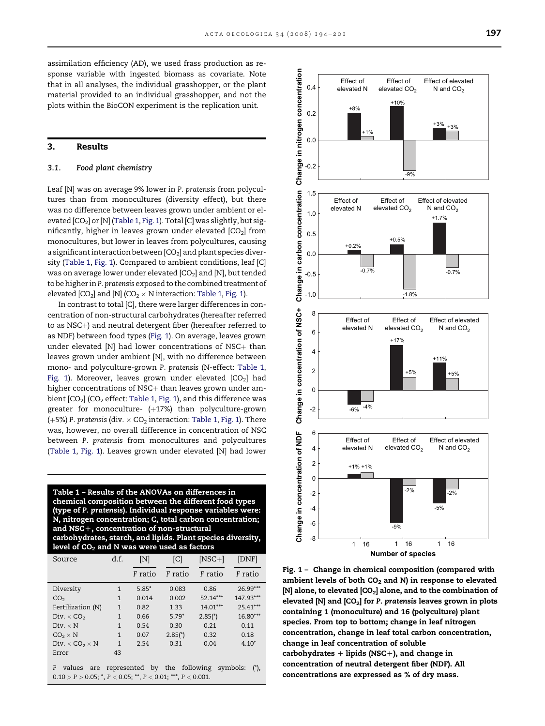<span id="page-3-0"></span>assimilation efficiency (AD), we used frass production as response variable with ingested biomass as covariate. Note that in all analyses, the individual grasshopper, or the plant material provided to an individual grasshopper, and not the plots within the BioCON experiment is the replication unit.

#### 3. Results

#### 3.1. Food plant chemistry

Leaf [N] was on average 9% lower in P. pratensis from polycultures than from monocultures (diversity effect), but there was no difference between leaves grown under ambient or elevated [CO<sub>2</sub>] or [N] (Table 1, Fig. 1). Total [C] was slightly, but significantly, higher in leaves grown under elevated  $[CO<sub>2</sub>]$  from monocultures, but lower in leaves from polycultures, causing a significant interaction between  $[CO<sub>2</sub>]$  and plant species diversity (Table 1, Fig. 1). Compared to ambient conditions, leaf [C] was on average lower under elevated  $[CO<sub>2</sub>]$  and  $[N]$ , but tended to be higher inP. pratensis exposed to the combined treatment of elevated  $[CO_2]$  and  $[N]$  (CO<sub>2</sub>  $\times$  N interaction: Table 1, Fig. 1).

In contrast to total [C], there were larger differences in concentration of non-structural carbohydrates (hereafter referred to as  $NSC+$ ) and neutral detergent fiber (hereafter referred to as NDF) between food types (Fig. 1). On average, leaves grown under elevated  $[N]$  had lower concentrations of NSC $+$  than leaves grown under ambient [N], with no difference between mono- and polyculture-grown P. pratensis (N-effect: Table 1, Fig. 1). Moreover, leaves grown under elevated  $[CO<sub>2</sub>]$  had higher concentrations of  $NSC+$  than leaves grown under ambient  $[CO_2]$  (CO<sub>2</sub> effect: Table 1, Fig. 1), and this difference was greater for monoculture-  $(+17%)$  than polyculture-grown (+5%) P. pratensis (div.  $\times$  CO<sub>2</sub> interaction: Table 1, Fig. 1). There was, however, no overall difference in concentration of NSC between P. pratensis from monocultures and polycultures (Table 1, Fig. 1). Leaves grown under elevated [N] had lower

Table 1 – Results of the ANOVAs on differences in chemical composition between the different food types (type of P. pratensis). Individual response variables were: N, nitrogen concentration; C, total carbon concentration; and  $NSC+$ , concentration of non-structural carbohydrates, starch, and lipids. Plant species diversity, level of  $CO<sub>2</sub>$  and N was were used as factors

| Source                                                                                                                                         | d.f.         | [N]     | [C]     | $[NSC+]$ | [DNF]      |  |  |  |
|------------------------------------------------------------------------------------------------------------------------------------------------|--------------|---------|---------|----------|------------|--|--|--|
|                                                                                                                                                |              | F ratio | F ratio | F ratio  | F ratio    |  |  |  |
| Diversity                                                                                                                                      | 1            | $5.85*$ | 0.083   | 0.86     | 26.99***   |  |  |  |
| CO <sub>2</sub>                                                                                                                                | 1            | 0.014   | 0.002   | 52.14*** | 147.93***  |  |  |  |
| Fertilization (N)                                                                                                                              | $\mathbf{1}$ | 0.82    | 1.33    | 14.01*** | $25.41***$ |  |  |  |
| Div. $\times$ CO <sub>2</sub>                                                                                                                  | 1            | 0.66    | $5.79*$ | $2.85*$  | $16.80***$ |  |  |  |
| $Div. \times N$                                                                                                                                | 1            | 0.54    | 0.30    | 0.21     | 0.11       |  |  |  |
| $CO2 \times N$                                                                                                                                 | 1            | 0.07    | $2.85*$ | 0.32     | 0.18       |  |  |  |
| Div. $\times$ CO <sub>2</sub> $\times$ N                                                                                                       | 1            | 2.54    | 0.31    | 0.04     | $4.10*$    |  |  |  |
| Error                                                                                                                                          | 43           |         |         |          |            |  |  |  |
| represented by the following<br>symbols:<br>$(^{*})$ ,<br>P<br>values<br>are<br>$0.10 > P > 0.05$ ; *, P < 0.05; **, P < 0.01; ***, P < 0.001. |              |         |         |          |            |  |  |  |



Fig. 1 – Change in chemical composition (compared with ambient levels of both  $CO<sub>2</sub>$  and N) in response to elevated [N] alone, to elevated [CO<sub>2</sub>] alone, and to the combination of elevated  $[N]$  and  $[CO_2]$  for P. pratensis leaves grown in plots containing 1 (monoculture) and 16 (polyculture) plant species. From top to bottom; change in leaf nitrogen concentration, change in leaf total carbon concentration, change in leaf concentration of soluble carbohydrates  $+$  lipids (NSC+), and change in concentration of neutral detergent fiber (NDF). All concentrations are expressed as % of dry mass.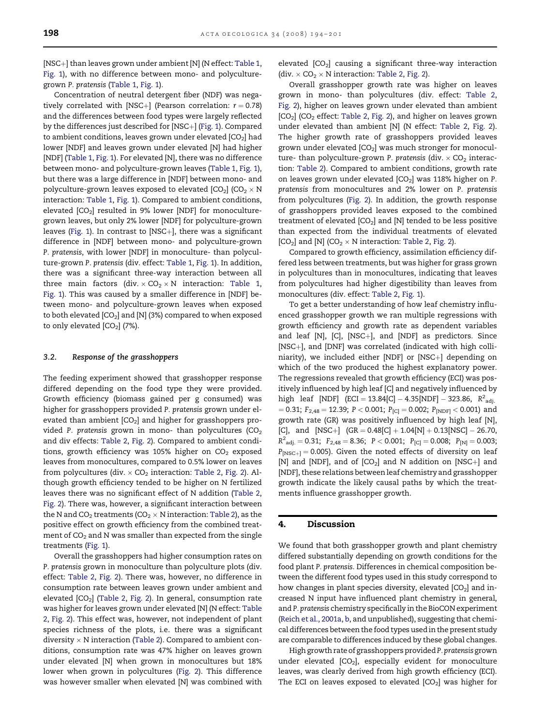[NSC+] than leaves grown under ambient [N] (N effect: [Table 1](#page-3-0), [Fig. 1\)](#page-3-0), with no difference between mono- and polyculturegrown P. pratensis ([Table 1](#page-3-0), [Fig. 1\)](#page-3-0).

Concentration of neutral detergent fiber (NDF) was negatively correlated with [NSC+] (Pearson correlation:  $r = 0.78$ ) and the differences between food types were largely reflected by the differences just described for [NSC+] [\(Fig. 1](#page-3-0)). Compared to ambient conditions, leaves grown under elevated  $[CO<sub>2</sub>]$  had lower [NDF] and leaves grown under elevated [N] had higher [NDF] [\(Table 1,](#page-3-0) [Fig. 1\)](#page-3-0). For elevated [N], there was no difference between mono- and polyculture-grown leaves ([Table 1,](#page-3-0) [Fig. 1\)](#page-3-0), but there was a large difference in [NDF] between mono- and polyculture-grown leaves exposed to elevated  $[CO<sub>2</sub>] (CO<sub>2</sub> \times N)$ interaction: [Table 1](#page-3-0), [Fig. 1\)](#page-3-0). Compared to ambient conditions, elevated  $[CO_2]$  resulted in 9% lower  $[NDF]$  for monoculturegrown leaves, but only 2% lower [NDF] for polyculture-grown leaves [\(Fig. 1](#page-3-0)). In contrast to [NSC+], there was a significant difference in [NDF] between mono- and polyculture-grown P. pratensis, with lower [NDF] in monoculture- than polyculture-grown P. pratensis (div. effect: [Table 1](#page-3-0), [Fig. 1\)](#page-3-0). In addition, there was a significant three-way interaction between all three main factors (div.  $\times$  CO<sub>2</sub>  $\times$  N interaction: [Table 1](#page-3-0), [Fig. 1](#page-3-0)). This was caused by a smaller difference in [NDF] between mono- and polyculture-grown leaves when exposed to both elevated  $[CO_2]$  and  $[N]$  (3%) compared to when exposed to only elevated  $[CO<sub>2</sub>]$  (7%).

#### 3.2. Response of the grasshoppers

The feeding experiment showed that grasshopper response differed depending on the food type they were provided. Growth efficiency (biomass gained per g consumed) was higher for grasshoppers provided P. pratensis grown under elevated than ambient  $[CO<sub>2</sub>]$  and higher for grasshoppers provided P. pratensis grown in mono- than polycultures  $(CO<sub>2</sub>)$ and div effects: [Table 2](#page-5-0), [Fig. 2\)](#page-6-0). Compared to ambient conditions, growth efficiency was 105% higher on  $CO<sub>2</sub>$  exposed leaves from monocultures, compared to 0.5% lower on leaves from polycultures (div.  $\times$  CO<sub>2</sub> interaction: [Table 2](#page-5-0), [Fig. 2](#page-6-0)). Although growth efficiency tended to be higher on N fertilized leaves there was no significant effect of N addition [\(Table 2](#page-5-0), [Fig. 2\)](#page-6-0). There was, however, a significant interaction between the N and CO<sub>2</sub> treatments (CO<sub>2</sub>  $\times$  N interaction: [Table 2](#page-5-0)), as the positive effect on growth efficiency from the combined treatment of  $CO<sub>2</sub>$  and N was smaller than expected from the single treatments [\(Fig. 1\)](#page-3-0).

Overall the grasshoppers had higher consumption rates on P. pratensis grown in monoculture than polyculture plots (div. effect: [Table 2](#page-5-0), [Fig. 2\)](#page-6-0). There was, however, no difference in consumption rate between leaves grown under ambient and elevated [CO<sub>2</sub>] [\(Table 2](#page-5-0), [Fig. 2](#page-6-0)). In general, consumption rate was higher for leaves grown under elevated [N] (N effect: [Table](#page-5-0) [2,](#page-5-0) [Fig. 2](#page-6-0)). This effect was, however, not independent of plant species richness of the plots, i.e. there was a significant diversity  $\times$  N interaction [\(Table 2](#page-5-0)). Compared to ambient conditions, consumption rate was 47% higher on leaves grown under elevated [N] when grown in monocultures but 18% lower when grown in polycultures [\(Fig. 2](#page-6-0)). This difference was however smaller when elevated [N] was combined with

elevated  $[CO<sub>2</sub>]$  causing a significant three-way interaction (div.  $\times$  CO<sub>2</sub>  $\times$  N interaction: [Table 2](#page-5-0), [Fig. 2](#page-6-0)).

Overall grasshopper growth rate was higher on leaves grown in mono- than polycultures (div. effect: [Table 2](#page-5-0), [Fig. 2](#page-6-0)), higher on leaves grown under elevated than ambient  $[CO<sub>2</sub>]$  (CO<sub>2</sub> effect: [Table 2,](#page-5-0) [Fig. 2\)](#page-6-0), and higher on leaves grown under elevated than ambient [N] (N effect: [Table 2](#page-5-0), [Fig. 2\)](#page-6-0). The higher growth rate of grasshoppers provided leaves grown under elevated  $[CO<sub>2</sub>]$  was much stronger for monoculture- than polyculture-grown P. pratensis (div.  $\times$  CO<sub>2</sub> interaction: [Table 2\)](#page-5-0). Compared to ambient conditions, growth rate on leaves grown under elevated  $[CO<sub>2</sub>]$  was 118% higher on P. pratensis from monocultures and 2% lower on P. pratensis from polycultures [\(Fig. 2\)](#page-6-0). In addition, the growth response of grasshoppers provided leaves exposed to the combined treatment of elevated  $[CO_2]$  and  $[N]$  tended to be less positive than expected from the individual treatments of elevated  $[CO_2]$  and  $[N]$   $(CO_2 \times N$  interaction: [Table 2](#page-5-0), [Fig. 2](#page-6-0)).

Compared to growth efficiency, assimilation efficiency differed less between treatments, but was higher for grass grown in polycultures than in monocultures, indicating that leaves from polycultures had higher digestibility than leaves from monocultures (div. effect: [Table 2,](#page-5-0) [Fig. 1\)](#page-3-0).

To get a better understanding of how leaf chemistry influenced grasshopper growth we ran multiple regressions with growth efficiency and growth rate as dependent variables and leaf  $[N]$ ,  $[C]$ ,  $[NSC+]$ , and  $[NDF]$  as predictors. Since [NSC+], and [DNF] was correlated (indicated with high colliniarity), we included either [NDF] or  $[NSC+]$  depending on which of the two produced the highest explanatory power. The regressions revealed that growth efficiency (ECI) was positively influenced by high leaf [C] and negatively influenced by high leaf [NDF]  $(ECI = 13.84[C] - 4.35[NDF] - 323.86, R<sup>2</sup>_{adj.}$  $= 0.31$ ;  $F_{2,48} = 12.39$ ;  $P < 0.001$ ;  $P_{[C]} = 0.002$ ;  $P_{[NDF]} < 0.001$ ) and growth rate (GR) was positively influenced by high leaf [N], [C], and  $[NSC+]$   $(GR = 0.48|C] + 1.04[N] + 0.13[NSC] - 26.70$ ,  $R^2_{\text{adj.}} = 0.31; \ \ F_{2,48} = 8.36; \ \ P < 0.001; \ \ P_{[C]} = 0.008; \ \ P_{[N]} = 0.003;$  $P_{[NSC+]} = 0.005$ ). Given the noted effects of diversity on leaf [N] and [NDF], and of  $[CO<sub>2</sub>]$  and N addition on [NSC+] and [NDF], these relations between leaf chemistry and grasshopper growth indicate the likely causal paths by which the treatments influence grasshopper growth.

## 4. Discussion

We found that both grasshopper growth and plant chemistry differed substantially depending on growth conditions for the food plant P. pratensis. Differences in chemical composition between the different food types used in this study correspond to how changes in plant species diversity, elevated  $[CO<sub>2</sub>]$  and increased N input have influenced plant chemistry in general, and P. pratensis chemistry specifically in the BioCON experiment ([Reich et al., 2001a, b,](#page-7-0) and unpublished), suggesting that chemical differences between the food types used in the present study are comparable to differences induced by these global changes.

High growth rate of grasshoppers providedP. pratensisgrown under elevated  $[CO_2]$ , especially evident for monoculture leaves, was clearly derived from high growth efficiency (ECI). The ECI on leaves exposed to elevated  $[CO<sub>2</sub>]$  was higher for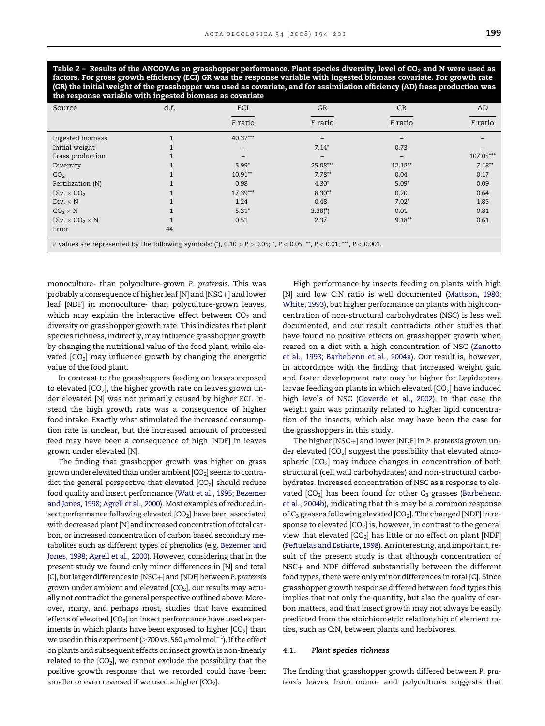<span id="page-5-0"></span>Table 2 – Results of the ANCOVAs on grasshopper performance. Plant species diversity, level of CO<sub>2</sub> and N were used as factors. For gross growth efficiency (ECI) GR was the response variable with ingested biomass covariate. For growth rate (GR) the initial weight of the grasshopper was used as covariate, and for assimilation efficiency (AD) frass production was the response variable with ingested biomass as covariate

| Source                                                                                                                          | d.f. | ECI               | <b>GR</b> | CR        | AD        |  |  |
|---------------------------------------------------------------------------------------------------------------------------------|------|-------------------|-----------|-----------|-----------|--|--|
|                                                                                                                                 |      | F ratio           | F ratio   | F ratio   | F ratio   |  |  |
| Ingested biomass                                                                                                                |      | $40.37***$        |           |           |           |  |  |
| Initial weight                                                                                                                  |      | $\qquad \qquad -$ | $7.14*$   | 0.73      |           |  |  |
| Frass production                                                                                                                |      |                   |           |           | 107.05*** |  |  |
| Diversity                                                                                                                       |      | $5.99*$           | 25.08***  | $12.12**$ | $7.18**$  |  |  |
| CO <sub>2</sub>                                                                                                                 |      | $10.91**$         | $7.78**$  | 0.04      | 0.17      |  |  |
| Fertilization (N)                                                                                                               |      | 0.98              | $4.30*$   | $5.09*$   | 0.09      |  |  |
| Div. $\times$ CO <sub>2</sub>                                                                                                   |      | $17.39***$        | $8.30**$  | 0.20      | 0.64      |  |  |
| Div. $\times$ N                                                                                                                 |      | 1.24              | 0.48      | $7.02*$   | 1.85      |  |  |
| $CO2 \times N$                                                                                                                  |      | $5.31*$           | $3.38*$   | 0.01      | 0.81      |  |  |
| Div. $\times$ CO <sub>2</sub> $\times$ N                                                                                        |      | 0.51              | 2.37      | $9.18***$ | 0.61      |  |  |
| Error                                                                                                                           | 44   |                   |           |           |           |  |  |
| P values are represented by the following symbols: (*), $0.10 > P > 0.05$ ; *, $P < 0.05$ ; **, $P < 0.01$ ; ***, $P < 0.001$ . |      |                   |           |           |           |  |  |

monoculture- than polyculture-grown P. pratensis. This was probably a consequence of higher leaf [N] and [NSC $+$ ] and lower leaf [NDF] in monoculture- than polyculture-grown leaves, which may explain the interactive effect between  $CO<sub>2</sub>$  and diversity on grasshopper growth rate. This indicates that plant species richness, indirectly, may influence grasshopper growth by changing the nutritional value of the food plant, while elevated  $[CO<sub>2</sub>]$  may influence growth by changing the energetic value of the food plant.

In contrast to the grasshoppers feeding on leaves exposed to elevated  $[CO<sub>2</sub>]$ , the higher growth rate on leaves grown under elevated [N] was not primarily caused by higher ECI. Instead the high growth rate was a consequence of higher food intake. Exactly what stimulated the increased consumption rate is unclear, but the increased amount of processed feed may have been a consequence of high [NDF] in leaves grown under elevated [N].

The finding that grasshopper growth was higher on grass grown under elevated than under ambient  $[CO_2]$  seems to contradict the general perspective that elevated  $[CO<sub>2</sub>]$  should reduce food quality and insect performance ([Watt et al., 1995; Bezemer](#page-7-0) [and Jones, 1998; Agrell et al., 2000\)](#page-7-0). Most examples of reduced insect performance following elevated  $[CO<sub>2</sub>]$  have been associated with decreased plant [N] and increased concentration of total carbon, or increased concentration of carbon based secondary metabolites such as different types of phenolics (e.g. [Bezemer and](#page-7-0) [Jones, 1998; Agrell et al., 2000](#page-7-0)). However, considering that in the present study we found only minor differences in [N] and total [C], but larger differences in [NSC+] and [NDF] between P. pratensis grown under ambient and elevated  $[CO_2]$ , our results may actually not contradict the general perspective outlined above. Moreover, many, and perhaps most, studies that have examined effects of elevated  $[CO<sub>2</sub>]$  on insect performance have used experiments in which plants have been exposed to higher  $[CO<sub>2</sub>]$  than we used in this experiment ( $\geq$ 700 vs. 560  $\mu$ mol mol $^{-1}$ ). If the effect on plants and subsequent effects on insect growth is non-linearly related to the  $[CO<sub>2</sub>]$ , we cannot exclude the possibility that the positive growth response that we recorded could have been smaller or even reversed if we used a higher  $[CO<sub>2</sub>]$ .

High performance by insects feeding on plants with high [N] and low C:N ratio is well documented ([Mattson, 1980;](#page-7-0) [White, 1993](#page-7-0)), but higher performance on plants with high concentration of non-structural carbohydrates (NSC) is less well documented, and our result contradicts other studies that have found no positive effects on grasshopper growth when reared on a diet with a high concentration of NSC [\(Zanotto](#page-7-0) [et al., 1993; Barbehenn et al., 2004a](#page-7-0)). Our result is, however, in accordance with the finding that increased weight gain and faster development rate may be higher for Lepidoptera larvae feeding on plants in which elevated  $[CO<sub>2</sub>]$  have induced high levels of NSC ([Goverde et al., 2002\)](#page-7-0). In that case the weight gain was primarily related to higher lipid concentration of the insects, which also may have been the case for the grasshoppers in this study.

The higher [NSC+] and lower [NDF] in P. pratensis grown under elevated  $[CO<sub>2</sub>]$  suggest the possibility that elevated atmospheric  $[CO<sub>2</sub>]$  may induce changes in concentration of both structural (cell wall carbohydrates) and non-structural carbohydrates. Increased concentration of NSC as a response to elevated  $[CO_2]$  has been found for other  $C_3$  grasses ([Barbehenn](#page-7-0) [et al., 2004b\)](#page-7-0), indicating that this may be a common response of  $C_3$  grasses following elevated  $[CO_2]$ . The changed  $[NDF]$  in response to elevated  $[CO_2]$  is, however, in contrast to the general view that elevated  $[CO_2]$  has little or no effect on plant  $[NDF]$ (Peñ[uelas and Estiarte, 1998\)](#page-7-0). An interesting, and important, result of the present study is that although concentration of  $NSC<sub>+</sub>$  and NDF differed substantially between the different food types, there were only minor differences in total [C]. Since grasshopper growth response differed between food types this implies that not only the quantity, but also the quality of carbon matters, and that insect growth may not always be easily predicted from the stoichiometric relationship of element ratios, such as C:N, between plants and herbivores.

#### 4.1. Plant species richness

The finding that grasshopper growth differed between P. pratensis leaves from mono- and polycultures suggests that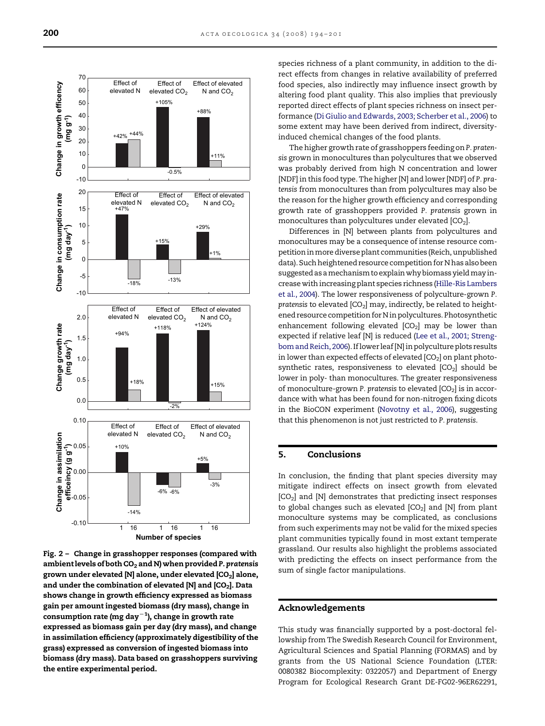<span id="page-6-0"></span>

Fig. 2 – Change in grasshopper responses (compared with ambient levels of both  $CO<sub>2</sub>$  and N) when provided P. pratensis grown under elevated [N] alone, under elevated [CO<sub>2</sub>] alone, and under the combination of elevated  $[N]$  and  $[CO_2]$ . Data shows change in growth efficiency expressed as biomass gain per amount ingested biomass (dry mass), change in consumption rate (mg day $^{-1}$ ), change in growth rate expressed as biomass gain per day (dry mass), and change in assimilation efficiency (approximately digestibility of the grass) expressed as conversion of ingested biomass into biomass (dry mass). Data based on grasshoppers surviving the entire experimental period.

species richness of a plant community, in addition to the direct effects from changes in relative availability of preferred food species, also indirectly may influence insect growth by altering food plant quality. This also implies that previously reported direct effects of plant species richness on insect performance ([Di Giulio and Edwards, 2003; Scherber et al., 2006](#page-7-0)) to some extent may have been derived from indirect, diversityinduced chemical changes of the food plants.

The higher growth rate of grasshoppers feeding on P. pratensis grown in monocultures than polycultures that we observed was probably derived from high N concentration and lower [NDF] in this food type. The higher [N] and lower [NDF] of P. pratensis from monocultures than from polycultures may also be the reason for the higher growth efficiency and corresponding growth rate of grasshoppers provided P. pratensis grown in monocultures than polycultures under elevated  $[CO<sub>2</sub>]$ .

Differences in [N] between plants from polycultures and monocultures may be a consequence of intense resource competition in more diverse plant communities (Reich, unpublished data). Such heightened resource competition for N has also been suggested as a mechanism to explain why biomass yield may increase with increasing plant species richness ([Hille-Ris Lambers](#page-7-0) [et al., 2004\)](#page-7-0). The lower responsiveness of polyculture-grown P. pratensis to elevated  $[CO_2]$  may, indirectly, be related to heightened resource competition for N in polycultures. Photosynthetic enhancement following elevated  $[CO<sub>2</sub>]$  may be lower than expected if relative leaf [N] is reduced ([Lee et al., 2001; Streng](#page-7-0)[bom and Reich, 2006](#page-7-0)). If lower leaf [N] in polyculture plots results in lower than expected effects of elevated  $[CO<sub>2</sub>]$  on plant photosynthetic rates, responsiveness to elevated  $[CO<sub>2</sub>]$  should be lower in poly- than monocultures. The greater responsiveness of monoculture-grown P. pratensis to elevated  $[CO<sub>2</sub>]$  is in accordance with what has been found for non-nitrogen fixing dicots in the BioCON experiment [\(Novotny et al., 2006](#page-7-0)), suggesting that this phenomenon is not just restricted to P. pratensis.

# 5. Conclusions

In conclusion, the finding that plant species diversity may mitigate indirect effects on insect growth from elevated  $[CO<sub>2</sub>]$  and  $[N]$  demonstrates that predicting insect responses to global changes such as elevated  $[CO<sub>2</sub>]$  and  $[N]$  from plant monoculture systems may be complicated, as conclusions from such experiments may not be valid for the mixed species plant communities typically found in most extant temperate grassland. Our results also highlight the problems associated with predicting the effects on insect performance from the sum of single factor manipulations.

## Acknowledgements

This study was financially supported by a post-doctoral fellowship from The Swedish Research Council for Environment, Agricultural Sciences and Spatial Planning (FORMAS) and by grants from the US National Science Foundation (LTER: 0080382 Biocomplexity: 0322057) and Department of Energy Program for Ecological Research Grant DE-FG02-96ER62291,